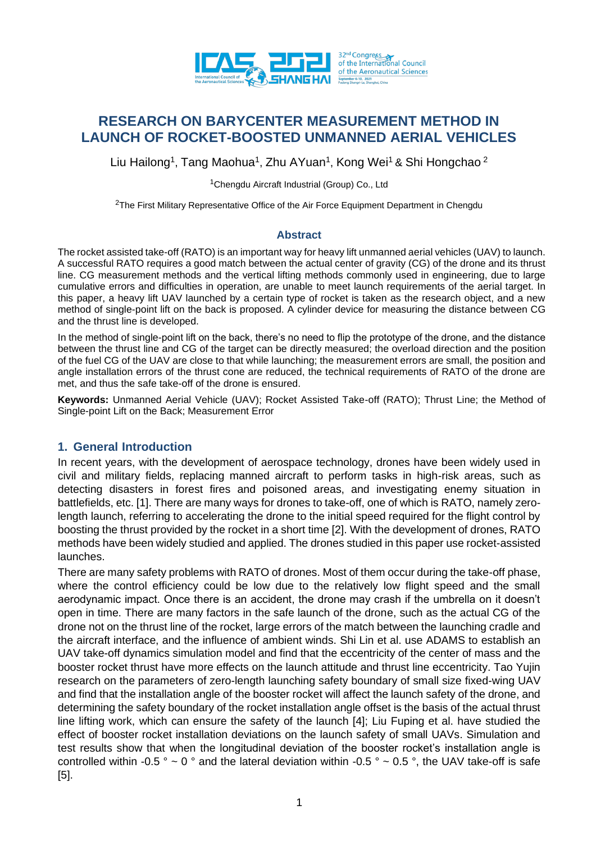

# **RESEARCH ON BARYCENTER MEASUREMENT METHOD IN LAUNCH OF ROCKET-BOOSTED UNMANNED AERIAL VEHICLES**

Liu Hailong<sup>1</sup>, Tang Maohua<sup>1</sup>, Zhu AYuan<sup>1</sup>, Kong Wei<sup>1</sup> & Shi Hongchao <sup>2</sup>

<sup>1</sup>Chengdu Aircraft Industrial (Group) Co., Ltd

 $2$ The First Military Representative Office of the Air Force Equipment Department in Chengdu

#### **Abstract**

The rocket assisted take-off (RATO) is an important way for heavy lift unmanned aerial vehicles (UAV) to launch. A successful RATO requires a good match between the actual center of gravity (CG) of the drone and its thrust line. CG measurement methods and the vertical lifting methods commonly used in engineering, due to large cumulative errors and difficulties in operation, are unable to meet launch requirements of the aerial target. In this paper, a heavy lift UAV launched by a certain type of rocket is taken as the research object, and a new method of single-point lift on the back is proposed. A cylinder device for measuring the distance between CG and the thrust line is developed.

In the method of single-point lift on the back, there's no need to flip the prototype of the drone, and the distance between the thrust line and CG of the target can be directly measured; the overload direction and the position of the fuel CG of the UAV are close to that while launching; the measurement errors are small, the position and angle installation errors of the thrust cone are reduced, the technical requirements of RATO of the drone are met, and thus the safe take-off of the drone is ensured.

**Keywords:** Unmanned Aerial Vehicle (UAV); Rocket Assisted Take-off (RATO); Thrust Line; the Method of Single-point Lift on the Back; Measurement Error

### **1. General Introduction**

In recent years, with the development of aerospace technology, drones have been widely used in civil and military fields, replacing manned aircraft to perform tasks in high-risk areas, such as detecting disasters in forest fires and poisoned areas, and investigating enemy situation in battlefields, etc. [1]. There are many ways for drones to take-off, one of which is RATO, namely zerolength launch, referring to accelerating the drone to the initial speed required for the flight control by boosting the thrust provided by the rocket in a short time [2]. With the development of drones, RATO methods have been widely studied and applied. The drones studied in this paper use rocket-assisted launches.

There are many safety problems with RATO of drones. Most of them occur during the take-off phase, where the control efficiency could be low due to the relatively low flight speed and the small aerodynamic impact. Once there is an accident, the drone may crash if the umbrella on it doesn't open in time. There are many factors in the safe launch of the drone, such as the actual CG of the drone not on the thrust line of the rocket, large errors of the match between the launching cradle and the aircraft interface, and the influence of ambient winds. Shi Lin et al. use ADAMS to establish an UAV take-off dynamics simulation model and find that the eccentricity of the center of mass and the booster rocket thrust have more effects on the launch attitude and thrust line eccentricity. Tao Yujin research on the parameters of zero-length launching safety boundary of small size fixed-wing UAV and find that the installation angle of the booster rocket will affect the launch safety of the drone, and determining the safety boundary of the rocket installation angle offset is the basis of the actual thrust line lifting work, which can ensure the safety of the launch [4]; Liu Fuping et al. have studied the effect of booster rocket installation deviations on the launch safety of small UAVs. Simulation and test results show that when the longitudinal deviation of the booster rocket's installation angle is controlled within -0.5  $\degree \sim 0 \degree$  and the lateral deviation within -0.5  $\degree \sim 0.5 \degree$ , the UAV take-off is safe [5].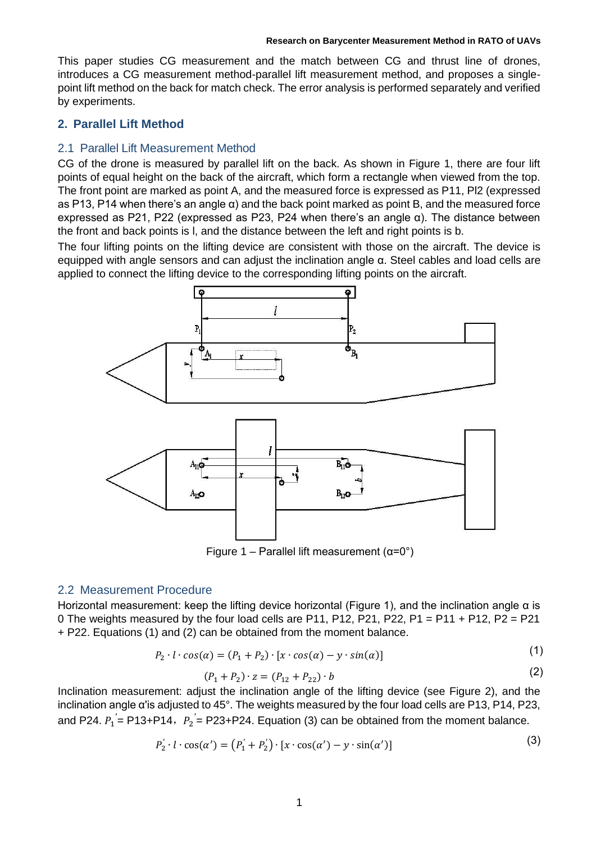This paper studies CG measurement and the match between CG and thrust line of drones, introduces a CG measurement method-parallel lift measurement method, and proposes a singlepoint lift method on the back for match check. The error analysis is performed separately and verified by experiments.

## **2. Parallel Lift Method**

## 2.1 Parallel Lift Measurement Method

CG of the drone is measured by parallel lift on the back. As shown in Figure 1, there are four lift points of equal height on the back of the aircraft, which form a rectangle when viewed from the top. The front point are marked as point A, and the measured force is expressed as P11, Pl2 (expressed as P13, P14 when there's an angle α) and the back point marked as point B, and the measured force expressed as P21, P22 (expressed as P23, P24 when there's an angle  $\alpha$ ). The distance between the front and back points is l, and the distance between the left and right points is b.

The four lifting points on the lifting device are consistent with those on the aircraft. The device is equipped with angle sensors and can adjust the inclination angle α. Steel cables and load cells are applied to connect the lifting device to the corresponding lifting points on the aircraft.



Figure 1 – Parallel lift measurement  $(α=0°)$ 

## 2.2 Measurement Procedure

Horizontal measurement: keep the lifting device horizontal (Figure 1), and the inclination angle  $\alpha$  is 0 The weights measured by the four load cells are P11, P12, P21, P22, P1 = P11 + P12, P2 = P21 + P22. Equations (1) and (2) can be obtained from the moment balance.

$$
P_2 \cdot l \cdot \cos(\alpha) = (P_1 + P_2) \cdot [x \cdot \cos(\alpha) - y \cdot \sin(\alpha)] \tag{1}
$$

$$
(P_1 + P_2) \cdot z = (P_{12} + P_{22}) \cdot b \tag{2}
$$

Inclination measurement: adjust the inclination angle of the lifting device (see Figure 2), and the inclination angle α'is adjusted to 45°. The weights measured by the four load cells are P13, P14, P23, and P24.  $P_1 = \text{P13+P14}$ ,  $P_2 = \text{P23+P24}$ . Equation (3) can be obtained from the moment balance.

$$
P_2' \cdot l \cdot \cos(\alpha') = (P_1' + P_2') \cdot [x \cdot \cos(\alpha') - y \cdot \sin(\alpha')]
$$
\n(3)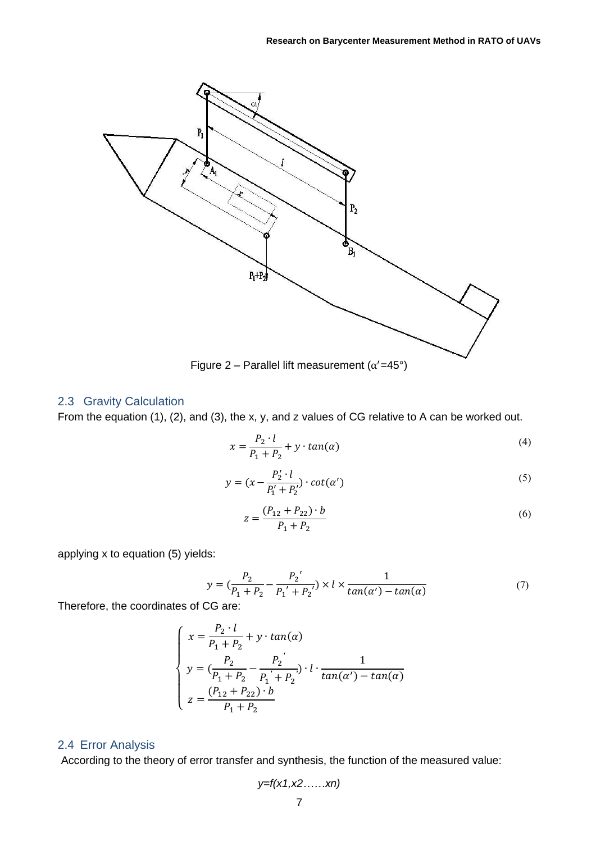

Figure 2 – Parallel lift measurement  $(\alpha' = 45^{\circ})$ 

## 2.3 Gravity Calculation

From the equation (1), (2), and (3), the x, y, and z values of CG relative to A can be worked out.

$$
x = \frac{P_2 \cdot l}{P_1 + P_2} + y \cdot \tan(\alpha) \tag{4}
$$

$$
y = (x - \frac{P'_2 \cdot l}{P'_1 + P'_2}) \cdot \cot(\alpha')
$$
\n<sup>(5)</sup>

$$
z = \frac{(P_{12} + P_{22}) \cdot b}{P_1 + P_2} \tag{6}
$$

applying x to equation (5) yields:

$$
y = \left(\frac{P_2}{P_1 + P_2} - \frac{P_2'}{P_1' + P_2'}\right) \times l \times \frac{1}{tan(\alpha') - tan(\alpha)}
$$
(7)

Therefore, the coordinates of CG are:

$$
\begin{cases}\n x = \frac{P_2 \cdot l}{P_1 + P_2} + y \cdot \tan(\alpha) \\
y = (\frac{P_2}{P_1 + P_2} - \frac{P_2}{P_1 + P_2}) \cdot l \cdot \frac{1}{\tan(\alpha') - \tan(\alpha)} \\
z = \frac{(P_{12} + P_{22}) \cdot b}{P_1 + P_2}\n\end{cases}
$$

## 2.4 Error Analysis

According to the theory of error transfer and synthesis, the function of the measured value:

$$
y=f(x1, x2, \ldots, xn)
$$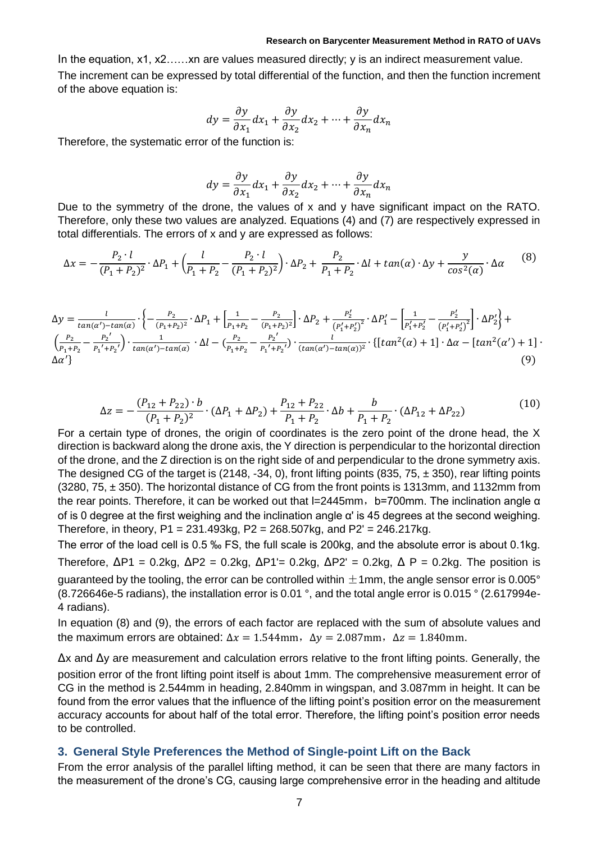#### **Research on Barycenter Measurement Method in RATO of UAVs**

In the equation, x1, x2......xn are values measured directly; y is an indirect measurement value. The increment can be expressed by total differential of the function, and then the function increment of the above equation is:

$$
dy = \frac{\partial y}{\partial x_1} dx_1 + \frac{\partial y}{\partial x_2} dx_2 + \dots + \frac{\partial y}{\partial x_n} dx_n
$$

Therefore, the systematic error of the function is:

$$
dy = \frac{\partial y}{\partial x_1} dx_1 + \frac{\partial y}{\partial x_2} dx_2 + \dots + \frac{\partial y}{\partial x_n} dx_n
$$

Due to the symmetry of the drone, the values of x and y have significant impact on the RATO. Therefore, only these two values are analyzed. Equations (4) and (7) are respectively expressed in total differentials. The errors of x and y are expressed as follows:

$$
\Delta x = -\frac{P_2 \cdot l}{(P_1 + P_2)^2} \cdot \Delta P_1 + \left(\frac{l}{P_1 + P_2} - \frac{P_2 \cdot l}{(P_1 + P_2)^2}\right) \cdot \Delta P_2 + \frac{P_2}{P_1 + P_2} \cdot \Delta l + \tan(\alpha) \cdot \Delta y + \frac{y}{\cos^2(\alpha)} \cdot \Delta \alpha
$$
 (8)

$$
\Delta y = \frac{l}{\tan(\alpha') - \tan(\alpha)} \cdot \left\{ -\frac{P_2}{(P_1 + P_2)^2} \cdot \Delta P_1 + \left[ \frac{1}{P_1 + P_2} - \frac{P_2}{(P_1 + P_2)^2} \right] \cdot \Delta P_2 + \frac{P_2'}{(P_1' + P_2')} \cdot \Delta P_1' - \left[ \frac{1}{P_1' + P_2'} - \frac{P_2'}{(P_1' + P_2')^2} \right] \cdot \Delta P_2' \right\} + \left( \frac{P_2}{P_1 + P_2} - \frac{P_2'}{P_1' + P_2'} \right) \cdot \frac{1}{\tan(\alpha') - \tan(\alpha)} \cdot \Delta l - \left( \frac{P_2}{P_1 + P_2} - \frac{P_2'}{P_1' + P_2'} \right) \cdot \frac{l}{(\tan(\alpha') - \tan(\alpha))^2} \cdot \left\{ \left[ \tan^2(\alpha) + 1 \right] \cdot \Delta \alpha - \left[ \tan^2(\alpha') + 1 \right] \cdot \Delta \alpha' \right\} \tag{9}
$$

$$
\Delta z = -\frac{(P_{12} + P_{22}) \cdot b}{(P_1 + P_2)^2} \cdot (\Delta P_1 + \Delta P_2) + \frac{P_{12} + P_{22}}{P_1 + P_2} \cdot \Delta b + \frac{b}{P_1 + P_2} \cdot (\Delta P_{12} + \Delta P_{22})
$$
(10)

For a certain type of drones, the origin of coordinates is the zero point of the drone head, the X direction is backward along the drone axis, the Y direction is perpendicular to the horizontal direction of the drone, and the Z direction is on the right side of and perpendicular to the drone symmetry axis. The designed CG of the target is (2148, -34, 0), front lifting points (835, 75,  $\pm$  350), rear lifting points (3280, 75, ± 350). The horizontal distance of CG from the front points is 1313mm, and 1132mm from the rear points. Therefore, it can be worked out that  $I=2445$ mm, b=700mm. The inclination angle  $\alpha$ of is 0 degree at the first weighing and the inclination angle α' is 45 degrees at the second weighing. Therefore, in theory,  $P1 = 231.493kg$ ,  $P2 = 268.507kg$ , and  $P2' = 246.217kg$ .

The error of the load cell is 0.5 ‰ FS, the full scale is 200kg, and the absolute error is about 0.1kg. Therefore,  $\Delta P1 = 0.2$ kg,  $\Delta P2 = 0.2$ kg,  $\Delta P1 = 0.2$ kg,  $\Delta P2 = 0.2$ kg,  $\Delta P = 0.2$ kg. The position is guaranteed by the tooling, the error can be controlled within  $\pm 1$ mm, the angle sensor error is 0.005 $^{\circ}$ (8.726646e-5 radians), the installation error is 0.01 °, and the total angle error is 0.015 ° (2.617994e-4 radians).

In equation (8) and (9), the errors of each factor are replaced with the sum of absolute values and the maximum errors are obtained:  $\Delta x = 1.544$ mm,  $\Delta y = 2.087$ mm,  $\Delta z = 1.840$ mm.

∆x and ∆y are measurement and calculation errors relative to the front lifting points. Generally, the position error of the front lifting point itself is about 1mm. The comprehensive measurement error of CG in the method is 2.544mm in heading, 2.840mm in wingspan, and 3.087mm in height. It can be found from the error values that the influence of the lifting point's position error on the measurement accuracy accounts for about half of the total error. Therefore, the lifting point's position error needs to be controlled.

### **3. General Style Preferences the Method of Single-point Lift on the Back**

From the error analysis of the parallel lifting method, it can be seen that there are many factors in the measurement of the drone's CG, causing large comprehensive error in the heading and altitude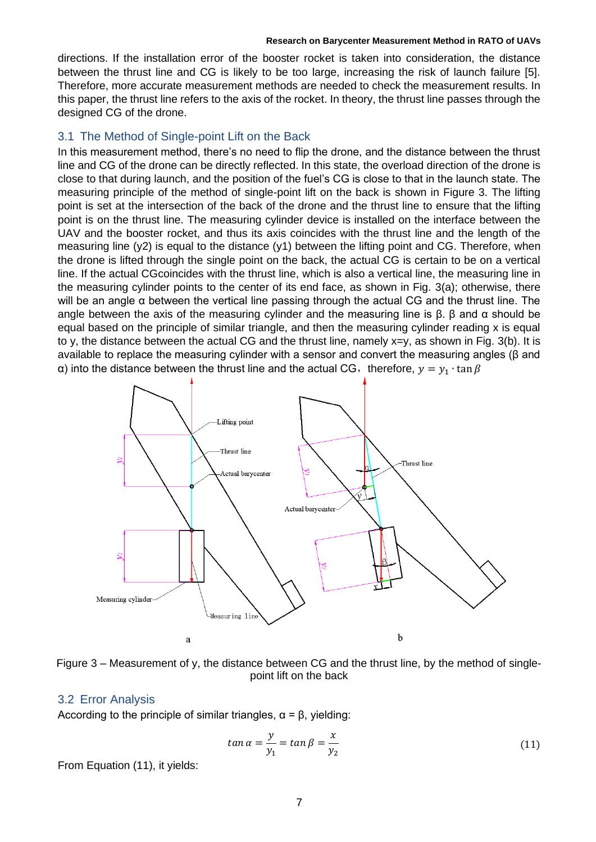#### **Research on Barycenter Measurement Method in RATO of UAVs**

directions. If the installation error of the booster rocket is taken into consideration, the distance between the thrust line and CG is likely to be too large, increasing the risk of launch failure [5]. Therefore, more accurate measurement methods are needed to check the measurement results. In this paper, the thrust line refers to the axis of the rocket. In theory, the thrust line passes through the designed CG of the drone.

## 3.1 The Method of Single-point Lift on the Back

In this measurement method, there's no need to flip the drone, and the distance between the thrust line and CG of the drone can be directly reflected. In this state, the overload direction of the drone is close to that during launch, and the position of the fuel's CG is close to that in the launch state. The measuring principle of the method of single-point lift on the back is shown in Figure 3. The lifting point is set at the intersection of the back of the drone and the thrust line to ensure that the lifting point is on the thrust line. The measuring cylinder device is installed on the interface between the UAV and the booster rocket, and thus its axis coincides with the thrust line and the length of the measuring line  $(y2)$  is equal to the distance  $(y1)$  between the lifting point and CG. Therefore, when the drone is lifted through the single point on the back, the actual CG is certain to be on a vertical line. If the actual CGcoincides with the thrust line, which is also a vertical line, the measuring line in the measuring cylinder points to the center of its end face, as shown in Fig. 3(a); otherwise, there will be an angle α between the vertical line passing through the actual CG and the thrust line. The angle between the axis of the measuring cylinder and the measuring line is  $\beta$ .  $\beta$  and  $\alpha$  should be equal based on the principle of similar triangle, and then the measuring cylinder reading x is equal to y, the distance between the actual CG and the thrust line, namely x=y, as shown in Fig. 3(b). It is available to replace the measuring cylinder with a sensor and convert the measuring angles (β and a) into the distance between the thrust line and the actual CG, therefore,  $y = y_1 \cdot \tan \beta$ 



Figure 3 – Measurement of y, the distance between CG and the thrust line, by the method of singlepoint lift on the back

### 3.2 Error Analysis

According to the principle of similar triangles,  $\alpha = \beta$ , yielding:

$$
\tan \alpha = \frac{y}{y_1} = \tan \beta = \frac{x}{y_2} \tag{11}
$$

From Equation (11), it yields: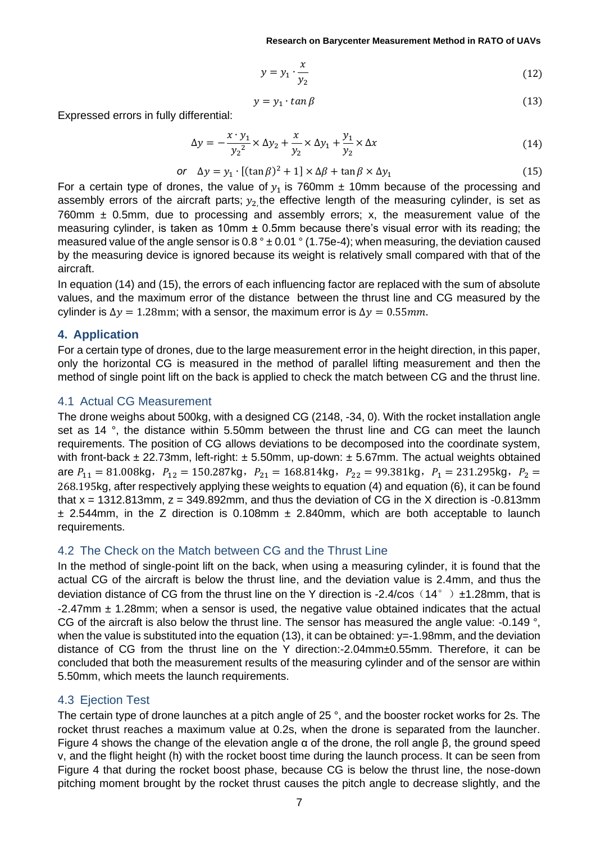$$
y = y_1 \cdot \frac{x}{y_2} \tag{12}
$$

$$
y = y_1 \cdot \tan \beta \tag{13}
$$

Expressed errors in fully differential:

$$
\Delta y = -\frac{x \cdot y_1}{y_2^2} \times \Delta y_2 + \frac{x}{y_2} \times \Delta y_1 + \frac{y_1}{y_2} \times \Delta x \tag{14}
$$

$$
\text{or} \quad \Delta y = y_1 \cdot \left[ (\tan \beta)^2 + 1 \right] \times \Delta \beta + \tan \beta \times \Delta y_1 \tag{15}
$$

For a certain type of drones, the value of  $y_1$  is 760mm  $\pm$  10mm because of the processing and assembly errors of the aircraft parts;  $y_2$ , the effective length of the measuring cylinder, is set as 760mm  $\pm$  0.5mm, due to processing and assembly errors; x, the measurement value of the measuring cylinder, is taken as 10mm  $\pm$  0.5mm because there's visual error with its reading; the measured value of the angle sensor is  $0.8^{\circ} \pm 0.01^{\circ}$  (1.75e-4); when measuring, the deviation caused by the measuring device is ignored because its weight is relatively small compared with that of the aircraft.

In equation (14) and (15), the errors of each influencing factor are replaced with the sum of absolute values, and the maximum error of the distance between the thrust line and CG measured by the cylinder is  $\Delta y = 1.28$ mm; with a sensor, the maximum error is  $\Delta y = 0.55$ mm.

### **4. Application**

For a certain type of drones, due to the large measurement error in the height direction, in this paper, only the horizontal CG is measured in the method of parallel lifting measurement and then the method of single point lift on the back is applied to check the match between CG and the thrust line.

### 4.1 Actual CG Measurement

The drone weighs about 500kg, with a designed CG (2148, -34, 0). With the rocket installation angle set as 14 °, the distance within 5.50mm between the thrust line and CG can meet the launch requirements. The position of CG allows deviations to be decomposed into the coordinate system, with front-back  $\pm$  22.73mm, left-right:  $\pm$  5.50mm, up-down:  $\pm$  5.67mm. The actual weights obtained are  $P_{11} = 81.008$ kg,  $P_{12} = 150.287$ kg,  $P_{21} = 168.814$ kg,  $P_{22} = 99.381$ kg,  $P_1 = 231.295$ kg,  $P_2 =$ 268.195kg, after respectively applying these weights to equation (4) and equation (6), it can be found that  $x = 1312.813$ mm,  $z = 349.892$ mm, and thus the deviation of CG in the X direction is -0.813mm  $\pm$  2.544mm, in the Z direction is 0.108mm  $\pm$  2.840mm, which are both acceptable to launch requirements.

## 4.2 The Check on the Match between CG and the Thrust Line

In the method of single-point lift on the back, when using a measuring cylinder, it is found that the actual CG of the aircraft is below the thrust line, and the deviation value is 2.4mm, and thus the deviation distance of CG from the thrust line on the Y direction is -2.4/cos (14°)  $\pm$ 1.28mm, that is  $-2.47$ mm  $\pm$  1.28mm; when a sensor is used, the negative value obtained indicates that the actual CG of the aircraft is also below the thrust line. The sensor has measured the angle value: -0.149 °, when the value is substituted into the equation (13), it can be obtained:  $y=-1.98$ mm, and the deviation distance of CG from the thrust line on the Y direction:-2.04mm±0.55mm. Therefore, it can be concluded that both the measurement results of the measuring cylinder and of the sensor are within 5.50mm, which meets the launch requirements.

## 4.3 Ejection Test

The certain type of drone launches at a pitch angle of 25 °, and the booster rocket works for 2s. The rocket thrust reaches a maximum value at 0.2s, when the drone is separated from the launcher. Figure 4 shows the change of the elevation angle α of the drone, the roll angle β, the ground speed v, and the flight height (h) with the rocket boost time during the launch process. It can be seen from Figure 4 that during the rocket boost phase, because CG is below the thrust line, the nose-down pitching moment brought by the rocket thrust causes the pitch angle to decrease slightly, and the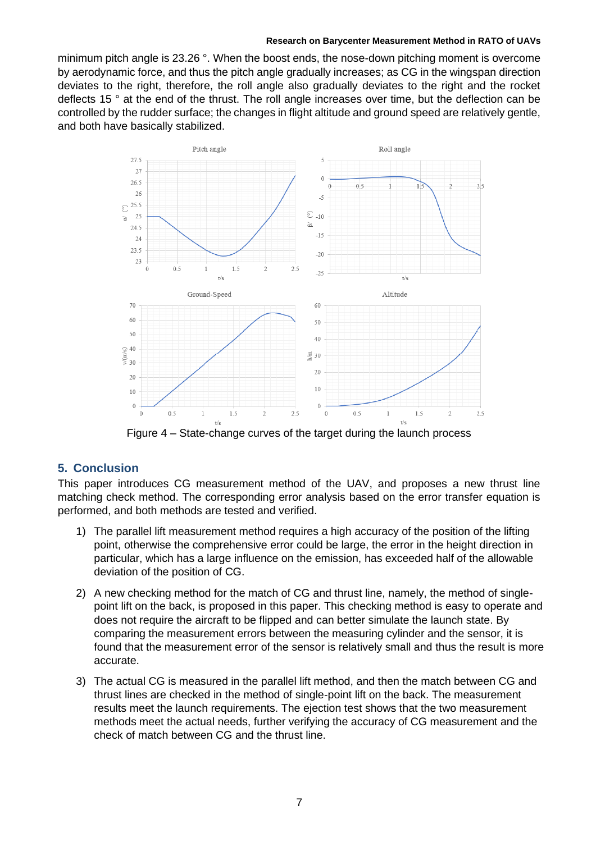#### **Research on Barycenter Measurement Method in RATO of UAVs**

minimum pitch angle is 23.26 °. When the boost ends, the nose-down pitching moment is overcome by aerodynamic force, and thus the pitch angle gradually increases; as CG in the wingspan direction deviates to the right, therefore, the roll angle also gradually deviates to the right and the rocket deflects 15 ° at the end of the thrust. The roll angle increases over time, but the deflection can be controlled by the rudder surface; the changes in flight altitude and ground speed are relatively gentle, and both have basically stabilized.



Figure 4 – State-change curves of the target during the launch process

## **5. Conclusion**

This paper introduces CG measurement method of the UAV, and proposes a new thrust line matching check method. The corresponding error analysis based on the error transfer equation is performed, and both methods are tested and verified.

- 1) The parallel lift measurement method requires a high accuracy of the position of the lifting point, otherwise the comprehensive error could be large, the error in the height direction in particular, which has a large influence on the emission, has exceeded half of the allowable deviation of the position of CG.
- 2) A new checking method for the match of CG and thrust line, namely, the method of singlepoint lift on the back, is proposed in this paper. This checking method is easy to operate and does not require the aircraft to be flipped and can better simulate the launch state. By comparing the measurement errors between the measuring cylinder and the sensor, it is found that the measurement error of the sensor is relatively small and thus the result is more accurate.
- 3) The actual CG is measured in the parallel lift method, and then the match between CG and thrust lines are checked in the method of single-point lift on the back. The measurement results meet the launch requirements. The ejection test shows that the two measurement methods meet the actual needs, further verifying the accuracy of CG measurement and the check of match between CG and the thrust line.